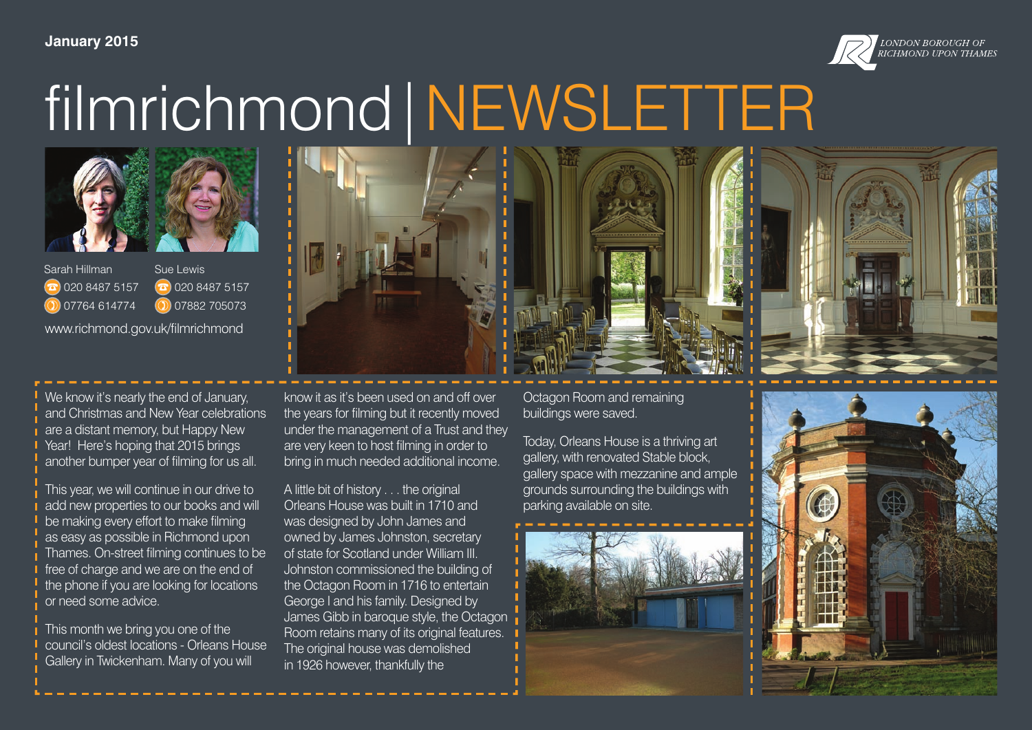#### **January 2015**



### filmrichmond|NEWSLETTER



Sarah Hillman  $\Omega$  020 8487 5157  $\n **07764 614774**\n$ Sue Lewis  $\Omega$  020 8487 5157 07882 705073 www.richmond.gov.uk/filmrichmond

We know it's nearly the end of January. and Christmas and New Year celebrations are a distant memory, but Happy New Year! Here's hoping that 2015 brings another bumper year of filming for us all.

This year, we will continue in our drive to add new properties to our books and will be making every effort to make filming as easy as possible in Richmond upon Thames. On-street filming continues to be free of charge and we are on the end of the phone if you are looking for locations or need some advice.

This month we bring you one of the council's oldest locations - Orleans House Gallery in Twickenham. Many of you will

know it as it's been used on and off over the years for filming but it recently moved under the management of a Trust and they are very keen to host filming in order to bring in much needed additional income.

A little bit of history . . . the original Orleans House was built in 1710 and was designed by John James and owned by James Johnston, secretary of state for Scotland under William III. Johnston commissioned the building of the Octagon Room in 1716 to entertain George I and his family. Designed by James Gibb in baroque style, the Octagon Room retains many of its original features. The original house was demolished in 1926 however, thankfully the

Octagon Room and remaining buildings were saved.

Today, Orleans House is a thriving art gallery, with renovated Stable block, gallery space with mezzanine and ample grounds surrounding the buildings with parking available on site.



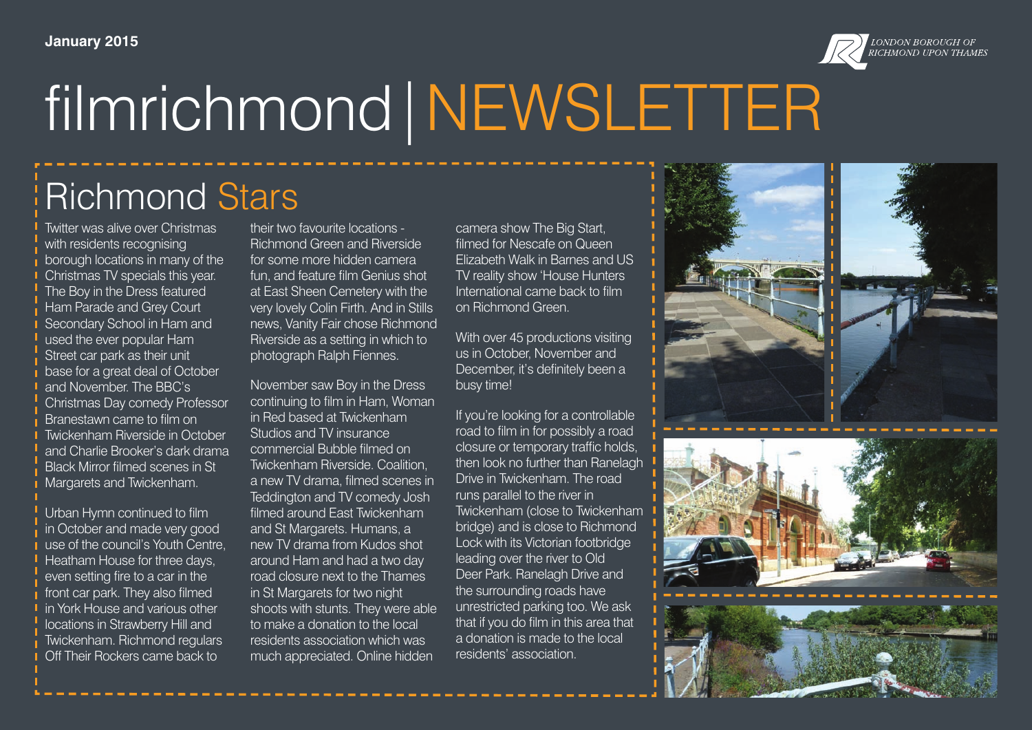

# filmrichmond|NEWSLETTER

### Richmond Stars

Twitter was alive over Christmas with residents recognising borough locations in many of the Christmas TV specials this year. The Boy in the Dress featured Ham Parade and Grey Court Secondary School in Ham and used the ever popular Ham Street car park as their unit base for a great deal of October and November. The BBC's Christmas Day comedy Professor Branestawn came to film on Twickenham Riverside in October and Charlie Brooker's dark drama Black Mirror filmed scenes in St Margarets and Twickenham.

Urban Hymn continued to film in October and made very good use of the council's Youth Centre, Heatham House for three days, even setting fire to a car in the front car park. They also filmed in York House and various other locations in Strawberry Hill and Twickenham. Richmond regulars Off Their Rockers came back to

their two favourite locations - Richmond Green and Riverside for some more hidden camera fun, and feature film Genius shot at East Sheen Cemetery with the very lovely Colin Firth. And in Stills news, Vanity Fair chose Richmond Riverside as a setting in which to photograph Ralph Fiennes.

November saw Boy in the Dress continuing to film in Ham, Woman in Red based at Twickenham Studios and TV insurance commercial Bubble filmed on Twickenham Riverside. Coalition, a new TV drama, filmed scenes in Teddington and TV comedy Josh filmed around East Twickenham and St Margarets. Humans, a new TV drama from Kudos shot around Ham and had a two day road closure next to the Thames in St Margarets for two night shoots with stunts. They were able to make a donation to the local residents association which was much appreciated. Online hidden

camera show The Big Start, filmed for Nescafe on Queen Elizabeth Walk in Barnes and US TV reality show 'House Hunters International came back to film on Richmond Green.

With over 45 productions visiting us in October, November and December, it's definitely been a busy time!

If you're looking for a controllable road to film in for possibly a road closure or temporary traffic holds, then look no further than Ranelagh Drive in Twickenham. The road runs parallel to the river in Twickenham (close to Twickenham bridge) and is close to Richmond Lock with its Victorian footbridge leading over the river to Old Deer Park. Ranelagh Drive and the surrounding roads have unrestricted parking too. We ask that if you do film in this area that a donation is made to the local residents' association.